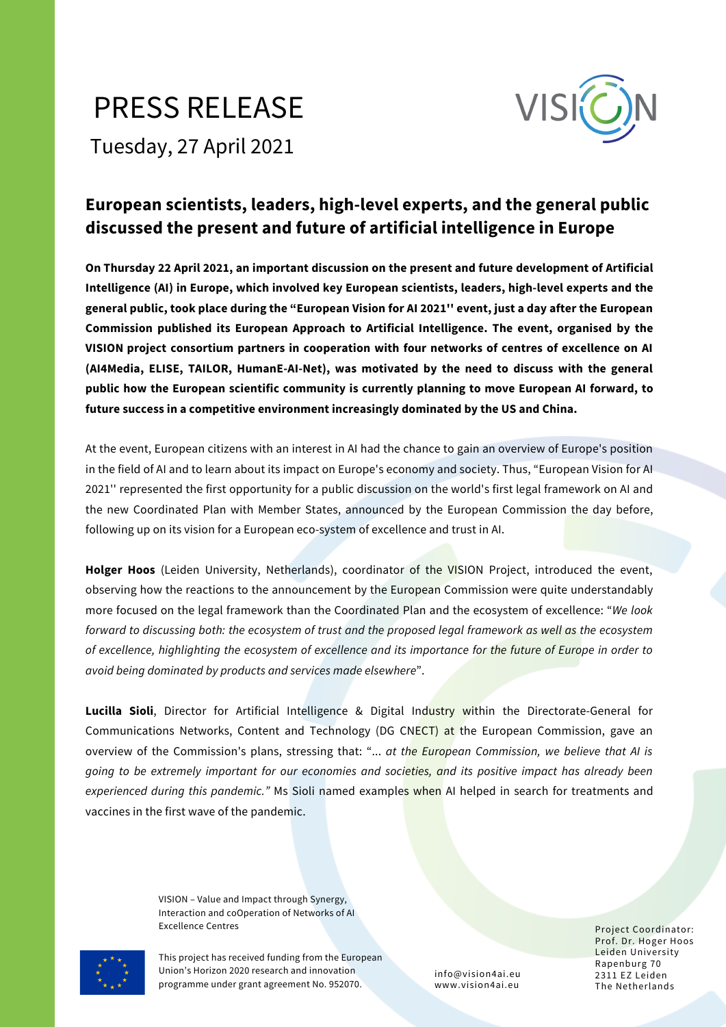## PRESS RELEASE



Tuesday, 27 April 2021

## **European scientists, leaders, high-level experts, and the general public discussed the present and future of artificial intelligence in Europe**

**On Thursday 22 April 2021, an important discussion on the present and future development of Artificial Intelligence (AI) in Europe, which involved key European scientists, leaders, high-level experts and the** general public, took place during the "European Vision for AI 2021" event, just a day after the European **Commission published its European Approach to Artificial Intelligence. The event, organised by the VISION [project](https://www.vision4ai.eu/) consortium partners in cooperation with four networks of centres of excellence on AI (AI4Media, ELISE, TAILOR, HumanE-AI-Net), was motivated by the need to discuss with the general public how the European scientific community is currently planning to move European AI forward, to future success in a competitive environment increasingly dominated by the US and China.**

At the event, European citizens with an interest in AI had the chance to gain an overview of Europe's position in the field of AI and to learn about its impact on Europe's economy and society. Thus, "European Vision for AI 2021'' represented the first opportunity for a public discussion on the world's first legal framework on AI and the new Coordinated Plan with Member States, announced by the European Commission the day before, following up on its vision for a European eco-system of excellence and trust in AI.

**Holger Hoos** (Leiden University, Netherlands), coordinator of the VISION Project, introduced the event, observing how the reactions to the announcement by the European Commission were quite understandably more focused on the legal framework than the Coordinated Plan and the ecosystem of excellence: "*We look* forward to discussing both: the ecosystem of trust and the proposed legal framework as well as the ecosystem of excellence, highlighting the ecosystem of excellence and its importance for the future of Europe in order to *avoid being dominated by products and services made elsewhere*".

**Lucilla Sioli**, Director for Artificial Intelligence & Digital Industry within the Directorate-General for Communications Networks, Content and Technology (DG CNECT) at the European Commission, gave an overview of the Commission's plans, stressing that: "... *at the European Commission, we believe that AI is going to be extremely important for our economies and societies, and its positive impact has already been experienced during this pandemic."* Ms Sioli named examples when AI helped in search for treatments and vaccines in the first wave of the pandemic.

> VISION – Value and Impact through Synergy, Interaction and coOperation of Networks of AI Excellence Centres **Excellence Centres** Project Coordinator:

This project has received funding from the European Union's Horizon 2020 research and innovation programme under grant agreement No. 952070.

info@vision4ai.eu www.vision4ai.eu

Prof. Dr. Hoger Hoos Leiden University Rapenburg 70 2311 EZ Leiden The Netherlands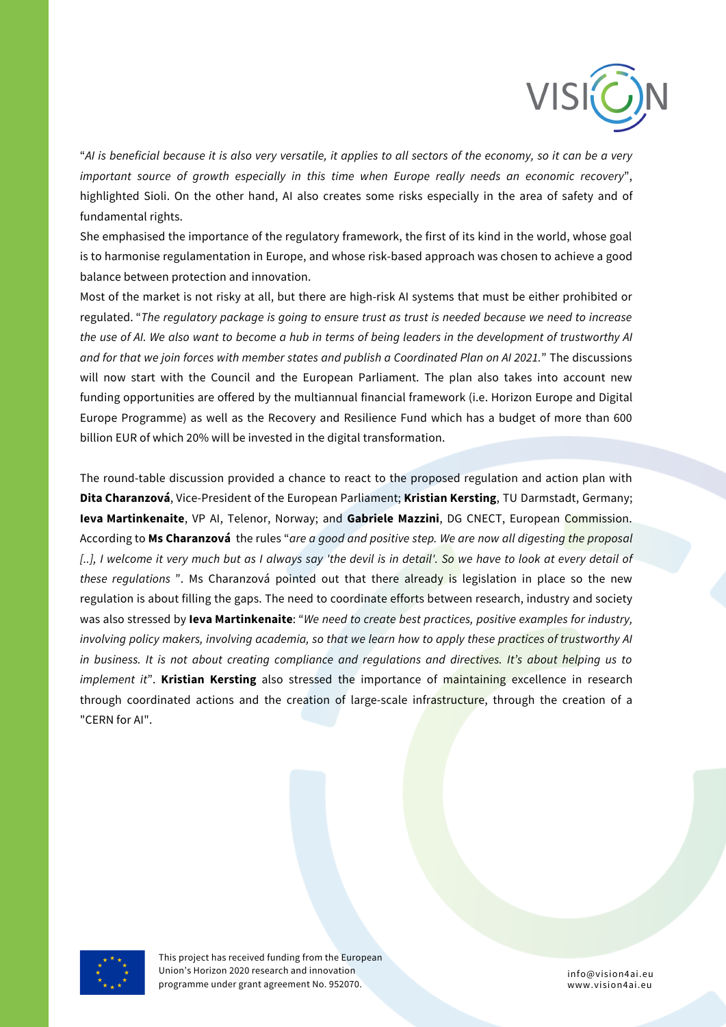

"Al is beneficial because it is also very versatile, it applies to all sectors of the economy, so it can be a very *important source of growth especially in this time when Europe really needs an economic recovery*", highlighted Sioli. On the other hand, AI also creates some risks especially in the area of safety and of fundamental rights.

She emphasised the importance of the regulatory framework, the first of its kind in the world, whose goal is to harmonise regulamentation in Europe, and whose risk-based approach was chosen to achieve a good balance between protection and innovation.

Most of the market is not risky at all, but there are high-risk AI systems that must be either prohibited or regulated. "The regulatory package is going to ensure trust as trust is needed because we need to increase the use of AI. We also want to become a hub in terms of being leaders in the development of trustworthy AI and for that we join forces with member states and publish a Coordinated Plan on AI 2021." The discussions will now start with the Council and the European Parliament. The plan also takes into account new funding opportunities are offered by the multiannual financial framework (i.e. Horizon Europe and Digital Europe Programme) as well as the Recovery and Resilience Fund which has a budget of more than 600 billion EUR of which 20% will be invested in the digital transformation.

The round-table discussion provided a chance to react to the proposed regulation and action plan with **Dita Charanzová**, Vice-President of the European Parliament; **Kristian Kersting**, TU Darmstadt, Germany; **Ieva Martinkenaite**, VP AI, Telenor, Norway; and **Gabriele Mazzini**, DG CNECT, European Commission. According to **Ms Charanzová** the rules "*are a good and positive step. We are now all digesting the proposal* [..], I welcome it very much but as I always say 'the devil is in detail'. So we have to look at every detail of *these regulations* ". Ms Charanzová pointed out that there already is legislation in place so the new regulation is about filling the gaps. The need to coordinate efforts between research, industry and society was also stressed by **Ieva Martinkenaite**: "*We need to create best practices, positive examples for industry,* involving policy makers, involving academia, so that we learn how to apply these practices of trustworthy AI *in business. It is not about creating compliance and regulations and directives. It's about helping us to implement it*". **Kristian Kersting** also stressed the importance of maintaining excellence in research through coordinated actions and the creation of large-scale infrastructure, through the creation of a "CERN for AI".



This project has received funding from the European Union's Horizon 2020 research and innovation programme under grant agreement No. 952070.